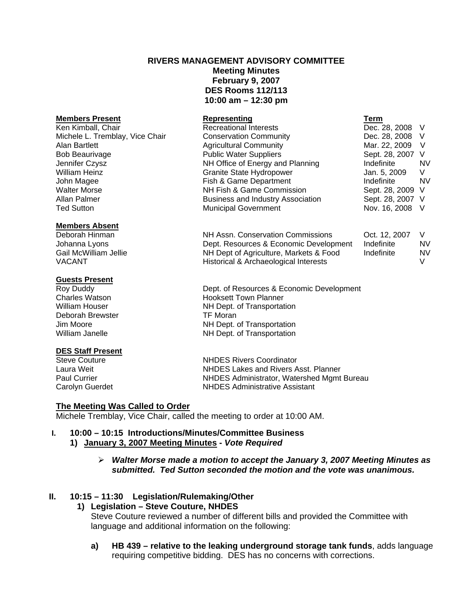## **RIVERS MANAGEMENT ADVISORY COMMITTEE**

**Meeting Minutes February 9, 2007 DES Rooms 112/113 10:00 am – 12:30 pm** 

| Representing                             | Term             |     |
|------------------------------------------|------------------|-----|
| <b>Recreational Interests</b>            | Dec. 28, 2008 V  |     |
| <b>Conservation Community</b>            | Dec. 28, 2008    | - V |
| <b>Agricultural Community</b>            | Mar. 22, 2009    | V   |
| <b>Public Water Suppliers</b>            | Sept. 28, 2007 V |     |
| NH Office of Energy and Planning         | Indefinite       | NV  |
| <b>Granite State Hydropower</b>          | Jan. 5, 2009     | V   |
| Fish & Game Department                   | Indefinite       | NV  |
| NH Fish & Game Commission                | Sept. 28, 2009 V |     |
| <b>Business and Industry Association</b> | Sept. 28, 2007 V |     |
| <b>Municipal Government</b>              | Nov. 16, 2008 V  |     |
|                                          |                  |     |

#### **Members Absent**

Deborah Hinman NH Assn. Conservation Commissions Oct. 12, 2007 V Johanna Lyons Dept. Resources & Economic Development Indefinite NV Gail McWilliam Jellie **NH Dept of Agriculture, Markets & Food** Indefinite NV VACANT VACANT MEET CHARGE Historical & Archaeological Interests VV

## **Guests Present**

Roy Duddy Dept. of Resources & Economic Development Charles Watson **Hooksett Town Planner** William Houser NH Dept. of Transportation Deborah Brewster TF Moran Jim Moore **NH Dept. of Transportation**<br>
William Janelle **NH Dept. of Transportation** 

# **DES Staff Present**<br>Steve Couture

Steve Couture NHDES Rivers Coordinator NHDES Lakes and Rivers Asst. Planner Paul Currier **NHDES Administrator, Watershed Mgmt Bureau** Carolyn Guerdet NHDES Administrative Assistant

#### **The Meeting Was Called to Order**

Michele Tremblay, Vice Chair, called the meeting to order at 10:00 AM.

## **I. 10:00 – 10:15 Introductions/Minutes/Committee Business**

## **1) January 3, 2007 Meeting Minutes -** *Vote Required*

¾ *Walter Morse made a motion to accept the January 3, 2007 Meeting Minutes as submitted. Ted Sutton seconded the motion and the vote was unanimous.* 

## **II. 10:15 – 11:30 Legislation/Rulemaking/Other**

## **1) Legislation – Steve Couture, NHDES**

Steve Couture reviewed a number of different bills and provided the Committee with language and additional information on the following:

NH Dept. of Transportation

**a) HB 439 – relative to the leaking underground storage tank funds**, adds language requiring competitive bidding. DES has no concerns with corrections.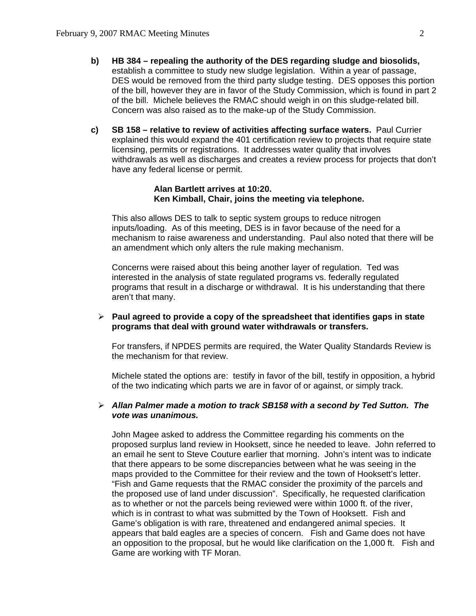- **b) HB 384 repealing the authority of the DES regarding sludge and biosolids,** establish a committee to study new sludge legislation. Within a year of passage, DES would be removed from the third party sludge testing. DES opposes this portion of the bill, however they are in favor of the Study Commission, which is found in part 2 of the bill. Michele believes the RMAC should weigh in on this sludge-related bill. Concern was also raised as to the make-up of the Study Commission.
- **c) SB 158 relative to review of activities affecting surface waters.** Paul Currier explained this would expand the 401 certification review to projects that require state licensing, permits or registrations. It addresses water quality that involves withdrawals as well as discharges and creates a review process for projects that don't have any federal license or permit.

#### **Alan Bartlett arrives at 10:20. Ken Kimball, Chair, joins the meeting via telephone.**

This also allows DES to talk to septic system groups to reduce nitrogen inputs/loading. As of this meeting, DES is in favor because of the need for a mechanism to raise awareness and understanding. Paul also noted that there will be an amendment which only alters the rule making mechanism.

Concerns were raised about this being another layer of regulation. Ted was interested in the analysis of state regulated programs vs. federally regulated programs that result in a discharge or withdrawal. It is his understanding that there aren't that many.

### ¾ **Paul agreed to provide a copy of the spreadsheet that identifies gaps in state programs that deal with ground water withdrawals or transfers.**

For transfers, if NPDES permits are required, the Water Quality Standards Review is the mechanism for that review.

Michele stated the options are: testify in favor of the bill, testify in opposition, a hybrid of the two indicating which parts we are in favor of or against, or simply track.

#### ¾ *Allan Palmer made a motion to track SB158 with a second by Ted Sutton. The vote was unanimous.*

John Magee asked to address the Committee regarding his comments on the proposed surplus land review in Hooksett, since he needed to leave. John referred to an email he sent to Steve Couture earlier that morning. John's intent was to indicate that there appears to be some discrepancies between what he was seeing in the maps provided to the Committee for their review and the town of Hooksett's letter. "Fish and Game requests that the RMAC consider the proximity of the parcels and the proposed use of land under discussion". Specifically, he requested clarification as to whether or not the parcels being reviewed were within 1000 ft. of the river, which is in contrast to what was submitted by the Town of Hooksett. Fish and Game's obligation is with rare, threatened and endangered animal species. It appears that bald eagles are a species of concern. Fish and Game does not have an opposition to the proposal, but he would like clarification on the 1,000 ft. Fish and Game are working with TF Moran.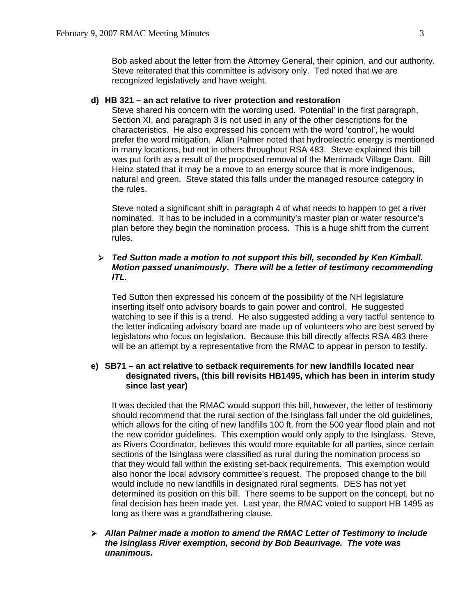Bob asked about the letter from the Attorney General, their opinion, and our authority. Steve reiterated that this committee is advisory only. Ted noted that we are recognized legislatively and have weight.

#### **d) HB 321 – an act relative to river protection and restoration**

Steve shared his concern with the wording used. 'Potential' in the first paragraph, Section XI, and paragraph 3 is not used in any of the other descriptions for the characteristics. He also expressed his concern with the word 'control', he would prefer the word mitigation. Allan Palmer noted that hydroelectric energy is mentioned in many locations, but not in others throughout RSA 483. Steve explained this bill was put forth as a result of the proposed removal of the Merrimack Village Dam. Bill Heinz stated that it may be a move to an energy source that is more indigenous, natural and green. Steve stated this falls under the managed resource category in the rules.

Steve noted a significant shift in paragraph 4 of what needs to happen to get a river nominated. It has to be included in a community's master plan or water resource's plan before they begin the nomination process. This is a huge shift from the current rules.

## ¾ *Ted Sutton made a motion to not support this bill, seconded by Ken Kimball. Motion passed unanimously. There will be a letter of testimony recommending ITL.*

Ted Sutton then expressed his concern of the possibility of the NH legislature inserting itself onto advisory boards to gain power and control. He suggested watching to see if this is a trend. He also suggested adding a very tactful sentence to the letter indicating advisory board are made up of volunteers who are best served by legislators who focus on legislation. Because this bill directly affects RSA 483 there will be an attempt by a representative from the RMAC to appear in person to testify.

### **e) SB71 – an act relative to setback requirements for new landfills located near designated rivers, (this bill revisits HB1495, which has been in interim study since last year)**

It was decided that the RMAC would support this bill, however, the letter of testimony should recommend that the rural section of the Isinglass fall under the old guidelines, which allows for the citing of new landfills 100 ft. from the 500 year flood plain and not the new corridor guidelines. This exemption would only apply to the Isinglass. Steve, as Rivers Coordinator, believes this would more equitable for all parties, since certain sections of the Isinglass were classified as rural during the nomination process so that they would fall within the existing set-back requirements. This exemption would also honor the local advisory committee's request. The proposed change to the bill would include no new landfills in designated rural segments. DES has not yet determined its position on this bill. There seems to be support on the concept, but no final decision has been made yet. Last year, the RMAC voted to support HB 1495 as long as there was a grandfathering clause.

¾ *Allan Palmer made a motion to amend the RMAC Letter of Testimony to include the Isinglass River exemption, second by Bob Beaurivage. The vote was unanimous.*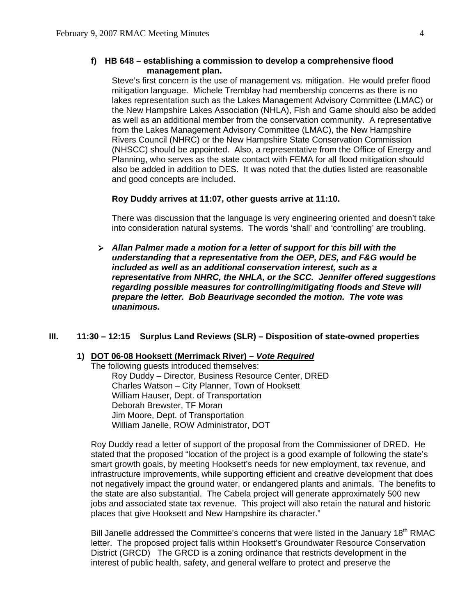## **f) HB 648 – establishing a commission to develop a comprehensive flood management plan.**

Steve's first concern is the use of management vs. mitigation. He would prefer flood mitigation language. Michele Tremblay had membership concerns as there is no lakes representation such as the Lakes Management Advisory Committee (LMAC) or the New Hampshire Lakes Association (NHLA), Fish and Game should also be added as well as an additional member from the conservation community. A representative from the Lakes Management Advisory Committee (LMAC), the New Hampshire Rivers Council (NHRC) or the New Hampshire State Conservation Commission (NHSCC) should be appointed. Also, a representative from the Office of Energy and Planning, who serves as the state contact with FEMA for all flood mitigation should also be added in addition to DES. It was noted that the duties listed are reasonable and good concepts are included.

#### **Roy Duddy arrives at 11:07, other guests arrive at 11:10.**

There was discussion that the language is very engineering oriented and doesn't take into consideration natural systems. The words 'shall' and 'controlling' are troubling.

¾ *Allan Palmer made a motion for a letter of support for this bill with the understanding that a representative from the OEP, DES, and F&G would be included as well as an additional conservation interest, such as a representative from NHRC, the NHLA, or the SCC. Jennifer offered suggestions regarding possible measures for controlling/mitigating floods and Steve will prepare the letter. Bob Beaurivage seconded the motion. The vote was unanimous.* 

#### **III. 11:30 – 12:15 Surplus Land Reviews (SLR) – Disposition of state-owned properties**

#### **1) DOT 06-08 Hooksett (Merrimack River) –** *Vote Required*

 The following guests introduced themselves: Roy Duddy – Director, Business Resource Center, DRED Charles Watson – City Planner, Town of Hooksett William Hauser, Dept. of Transportation Deborah Brewster, TF Moran Jim Moore, Dept. of Transportation William Janelle, ROW Administrator, DOT

Roy Duddy read a letter of support of the proposal from the Commissioner of DRED. He stated that the proposed "location of the project is a good example of following the state's smart growth goals, by meeting Hooksett's needs for new employment, tax revenue, and infrastructure improvements, while supporting efficient and creative development that does not negatively impact the ground water, or endangered plants and animals. The benefits to the state are also substantial. The Cabela project will generate approximately 500 new jobs and associated state tax revenue. This project will also retain the natural and historic places that give Hooksett and New Hampshire its character."

Bill Janelle addressed the Committee's concerns that were listed in the January 18<sup>th</sup> RMAC letter. The proposed project falls within Hooksett's Groundwater Resource Conservation District (GRCD) The GRCD is a zoning ordinance that restricts development in the interest of public health, safety, and general welfare to protect and preserve the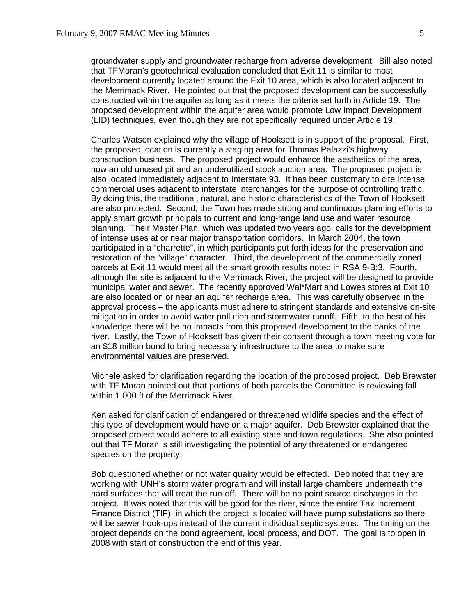groundwater supply and groundwater recharge from adverse development. Bill also noted that TFMoran's geotechnical evaluation concluded that Exit 11 is similar to most development currently located around the Exit 10 area, which is also located adjacent to the Merrimack River. He pointed out that the proposed development can be successfully constructed within the aquifer as long as it meets the criteria set forth in Article 19. The proposed development within the aquifer area would promote Low Impact Development (LID) techniques, even though they are not specifically required under Article 19.

Charles Watson explained why the village of Hooksett is in support of the proposal. First, the proposed location is currently a staging area for Thomas Palazzi's highway construction business. The proposed project would enhance the aesthetics of the area, now an old unused pit and an underutilized stock auction area. The proposed project is also located immediately adjacent to Interstate 93. It has been customary to cite intense commercial uses adjacent to interstate interchanges for the purpose of controlling traffic. By doing this, the traditional, natural, and historic characteristics of the Town of Hooksett are also protected. Second, the Town has made strong and continuous planning efforts to apply smart growth principals to current and long-range land use and water resource planning. Their Master Plan, which was updated two years ago, calls for the development of intense uses at or near major transportation corridors. In March 2004, the town participated in a "charrette", in which participants put forth ideas for the preservation and restoration of the "village" character. Third, the development of the commercially zoned parcels at Exit 11 would meet all the smart growth results noted in RSA 9-B:3. Fourth, although the site is adjacent to the Merrimack River, the project will be designed to provide municipal water and sewer. The recently approved Wal\*Mart and Lowes stores at Exit 10 are also located on or near an aquifer recharge area. This was carefully observed in the approval process – the applicants must adhere to stringent standards and extensive on-site mitigation in order to avoid water pollution and stormwater runoff. Fifth, to the best of his knowledge there will be no impacts from this proposed development to the banks of the river. Lastly, the Town of Hooksett has given their consent through a town meeting vote for an \$18 million bond to bring necessary infrastructure to the area to make sure environmental values are preserved.

Michele asked for clarification regarding the location of the proposed project. Deb Brewster with TF Moran pointed out that portions of both parcels the Committee is reviewing fall within 1,000 ft of the Merrimack River.

Ken asked for clarification of endangered or threatened wildlife species and the effect of this type of development would have on a major aquifer. Deb Brewster explained that the proposed project would adhere to all existing state and town regulations. She also pointed out that TF Moran is still investigating the potential of any threatened or endangered species on the property.

Bob questioned whether or not water quality would be effected. Deb noted that they are working with UNH's storm water program and will install large chambers underneath the hard surfaces that will treat the run-off. There will be no point source discharges in the project. It was noted that this will be good for the river, since the entire Tax Increment Finance District (TIF), in which the project is located will have pump substations so there will be sewer hook-ups instead of the current individual septic systems. The timing on the project depends on the bond agreement, local process, and DOT. The goal is to open in 2008 with start of construction the end of this year.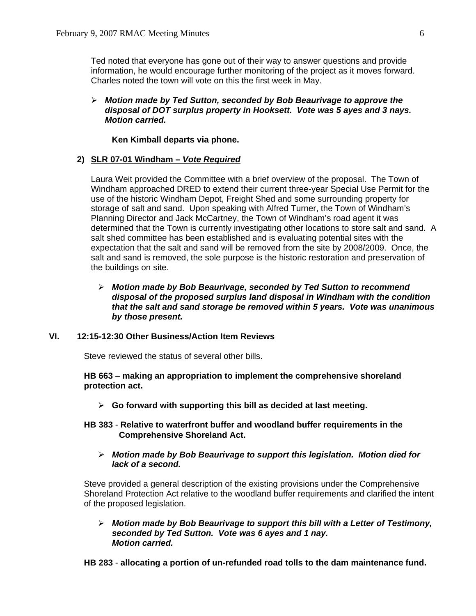Ted noted that everyone has gone out of their way to answer questions and provide information, he would encourage further monitoring of the project as it moves forward. Charles noted the town will vote on this the first week in May.

#### ¾ *Motion made by Ted Sutton, seconded by Bob Beaurivage to approve the disposal of DOT surplus property in Hooksett. Vote was 5 ayes and 3 nays. Motion carried.*

 **Ken Kimball departs via phone.**

#### **2) SLR 07-01 Windham –** *Vote Required*

Laura Weit provided the Committee with a brief overview of the proposal. The Town of Windham approached DRED to extend their current three-year Special Use Permit for the use of the historic Windham Depot, Freight Shed and some surrounding property for storage of salt and sand. Upon speaking with Alfred Turner, the Town of Windham's Planning Director and Jack McCartney, the Town of Windham's road agent it was determined that the Town is currently investigating other locations to store salt and sand. A salt shed committee has been established and is evaluating potential sites with the expectation that the salt and sand will be removed from the site by 2008/2009. Once, the salt and sand is removed, the sole purpose is the historic restoration and preservation of the buildings on site.

## ¾ *Motion made by Bob Beaurivage, seconded by Ted Sutton to recommend disposal of the proposed surplus land disposal in Windham with the condition that the salt and sand storage be removed within 5 years. Vote was unanimous by those present.*

## **VI. 12:15-12:30 Other Business/Action Item Reviews**

Steve reviewed the status of several other bills.

**HB 663** – **making an appropriation to implement the comprehensive shoreland protection act.**

- ¾ **Go forward with supporting this bill as decided at last meeting.**
- **HB 383 Relative to waterfront buffer and woodland buffer requirements in the Comprehensive Shoreland Act.**
	- ¾ *Motion made by Bob Beaurivage to support this legislation. Motion died for lack of a second.*

Steve provided a general description of the existing provisions under the Comprehensive Shoreland Protection Act relative to the woodland buffer requirements and clarified the intent of the proposed legislation.

¾ *Motion made by Bob Beaurivage to support this bill with a Letter of Testimony, seconded by Ted Sutton. Vote was 6 ayes and 1 nay. Motion carried.* 

**HB 283** - **allocating a portion of un-refunded road tolls to the dam maintenance fund.**